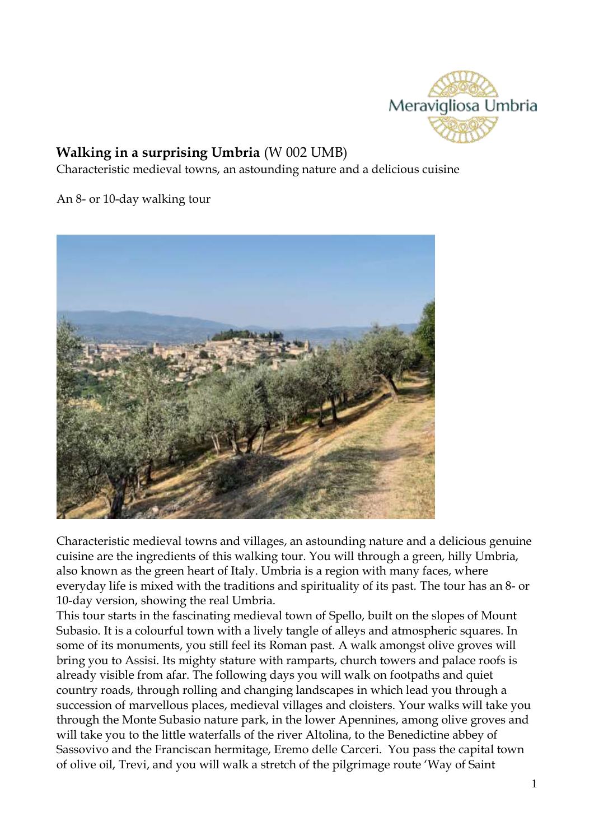

# **Walking in a surprising Umbria** (W 002 UMB)

Characteristic medieval towns, an astounding nature and a delicious cuisine

An 8- or 10-day walking tour



Characteristic medieval towns and villages, an astounding nature and a delicious genuine cuisine are the ingredients of this walking tour. You will through a green, hilly Umbria, also known as the green heart of Italy. Umbria is a region with many faces, where everyday life is mixed with the traditions and spirituality of its past. The tour has an 8- or 10-day version, showing the real Umbria.

This tour starts in the fascinating medieval town of Spello, built on the slopes of Mount Subasio. It is a colourful town with a lively tangle of alleys and atmospheric squares. In some of its monuments, you still feel its Roman past. A walk amongst olive groves will bring you to Assisi. Its mighty stature with ramparts, church towers and palace roofs is already visible from afar. The following days you will walk on footpaths and quiet country roads, through rolling and changing landscapes in which lead you through a succession of marvellous places, medieval villages and cloisters. Your walks will take you through the Monte Subasio nature park, in the lower Apennines, among olive groves and will take you to the little waterfalls of the river Altolina, to the Benedictine abbey of Sassovivo and the Franciscan hermitage, Eremo delle Carceri. You pass the capital town of olive oil, Trevi, and you will walk a stretch of the pilgrimage route 'Way of Saint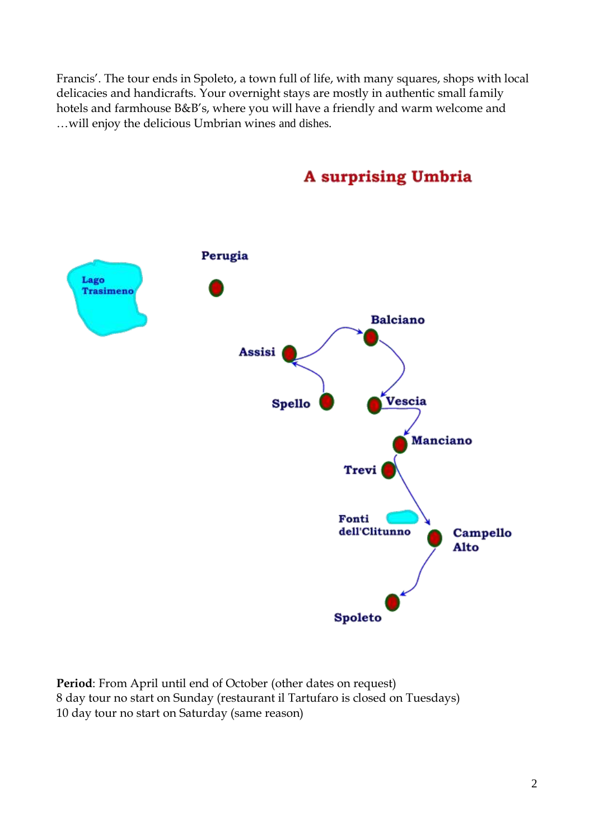Francis'. The tour ends in Spoleto, a town full of life, with many squares, shops with local delicacies and handicrafts. Your overnight stays are mostly in authentic small family hotels and farmhouse B&B's, where you will have a friendly and warm welcome and …will enjoy the delicious Umbrian wines and dishes.



# **A surprising Umbria**

**Period**: From April until end of October (other dates on request) 8 day tour no start on Sunday (restaurant il Tartufaro is closed on Tuesdays) 10 day tour no start on Saturday (same reason)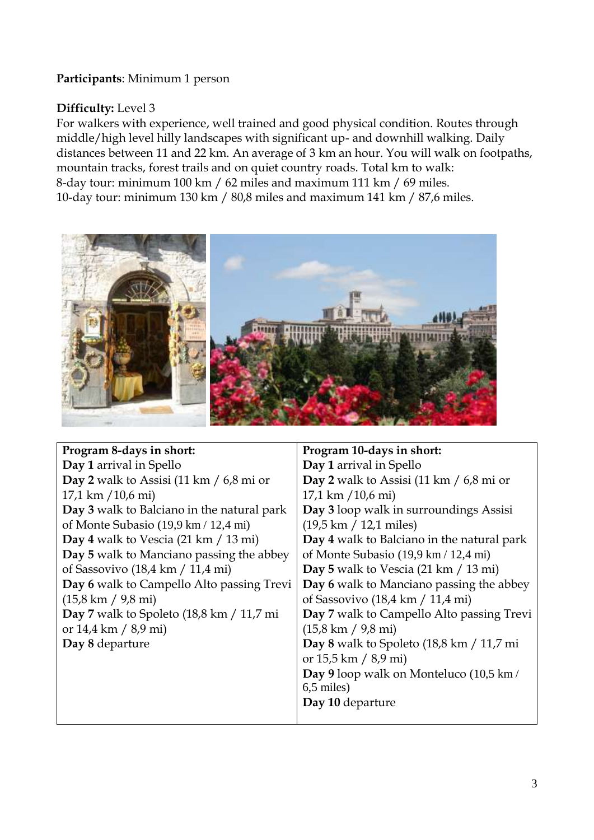## **Participants**: Minimum 1 person

# **Difficulty:** Level 3

For walkers with experience, well trained and good physical condition. Routes through middle/high level hilly landscapes with significant up- and downhill walking. Daily distances between 11 and 22 km. An average of 3 km an hour. You will walk on footpaths, mountain tracks, forest trails and on quiet country roads. Total km to walk: 8-day tour: minimum 100 km / 62 miles and maximum 111 km / 69 miles. 10-day tour: minimum 130 km / 80,8 miles and maximum 141 km / 87,6 miles.



| Program 8-days in short:                                      | Program 10-days in short:                                   |
|---------------------------------------------------------------|-------------------------------------------------------------|
| Day 1 arrival in Spello                                       | Day 1 arrival in Spello                                     |
| Day 2 walk to Assisi $(11 \text{ km } / 6, 8 \text{ mi})$     | Day 2 walk to Assisi (11 km / $6,8$ mi or                   |
| $17,1 \text{ km } 10,6 \text{ mi}$                            | $17,1 \text{ km } (10,6 \text{ mi})$                        |
| Day 3 walk to Balciano in the natural park                    | Day 3 loop walk in surroundings Assisi                      |
| of Monte Subasio (19,9 km / 12,4 mi)                          | $(19.5 \text{ km} / 12.1 \text{ miles})$                    |
| Day 4 walk to Vescia $(21 \text{ km } 13 \text{ mi})$         | Day 4 walk to Balciano in the natural park                  |
| Day 5 walk to Manciano passing the abbey                      | of Monte Subasio (19,9 km / 12,4 mi)                        |
| of Sassovivo $(18,4 \text{ km} / 11,4 \text{ mi})$            | Day 5 walk to Vescia $(21 \text{ km } 13 \text{ mi})$       |
| Day 6 walk to Campello Alto passing Trevi                     | Day 6 walk to Manciano passing the abbey                    |
| $(15,8 \text{ km} / 9,8 \text{ mi})$                          | of Sassovivo $(18,4 \text{ km} / 11,4 \text{ mi})$          |
| Day 7 walk to Spoleto $(18, 8 \text{ km} / 11, 7 \text{ mi})$ | Day 7 walk to Campello Alto passing Trevi                   |
| or $14.4 \text{ km} / 8.9 \text{ mi}$                         | $(15,8 \text{ km} / 9,8 \text{ mi})$                        |
| Day 8 departure                                               | Day 8 walk to Spoleto $(18,8 \text{ km} / 11,7 \text{ mi})$ |
|                                                               | or $15.5 \text{ km} / 8.9 \text{ mi}$                       |
|                                                               | Day 9 loop walk on Monteluco (10,5 km/                      |
|                                                               | $6,5$ miles)                                                |
|                                                               | Day 10 departure                                            |
|                                                               |                                                             |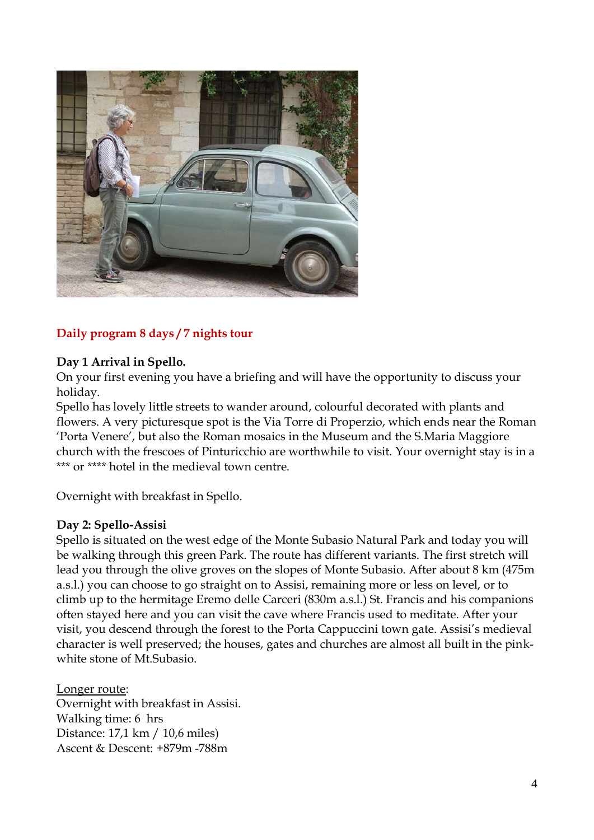

## **Daily program 8 days / 7 nights tour**

#### **Day 1 Arrival in Spello.**

On your first evening you have a briefing and will have the opportunity to discuss your holiday.

Spello has lovely little streets to wander around, colourful decorated with plants and flowers. A very picturesque spot is the Via Torre di Properzio, which ends near the Roman 'Porta Venere', but also the Roman mosaics in the Museum and the S.Maria Maggiore church with the frescoes of Pinturicchio are worthwhile to visit. Your overnight stay is in a \*\*\* or \*\*\*\* hotel in the medieval town centre.

Overnight with breakfast in Spello.

#### **Day 2: Spello-Assisi**

Spello is situated on the west edge of the Monte Subasio Natural Park and today you will be walking through this green Park. The route has different variants. The first stretch will lead you through the olive groves on the slopes of Monte Subasio. After about 8 km (475m a.s.l.) you can choose to go straight on to Assisi, remaining more or less on level, or to climb up to the hermitage Eremo delle Carceri (830m a.s.l.) St. Francis and his companions often stayed here and you can visit the cave where Francis used to meditate. After your visit, you descend through the forest to the Porta Cappuccini town gate. Assisi's medieval character is well preserved; the houses, gates and churches are almost all built in the pinkwhite stone of Mt.Subasio.

Longer route: Overnight with breakfast in Assisi. Walking time: 6 hrs Distance: 17,1 km / 10,6 miles) Ascent & Descent: +879m -788m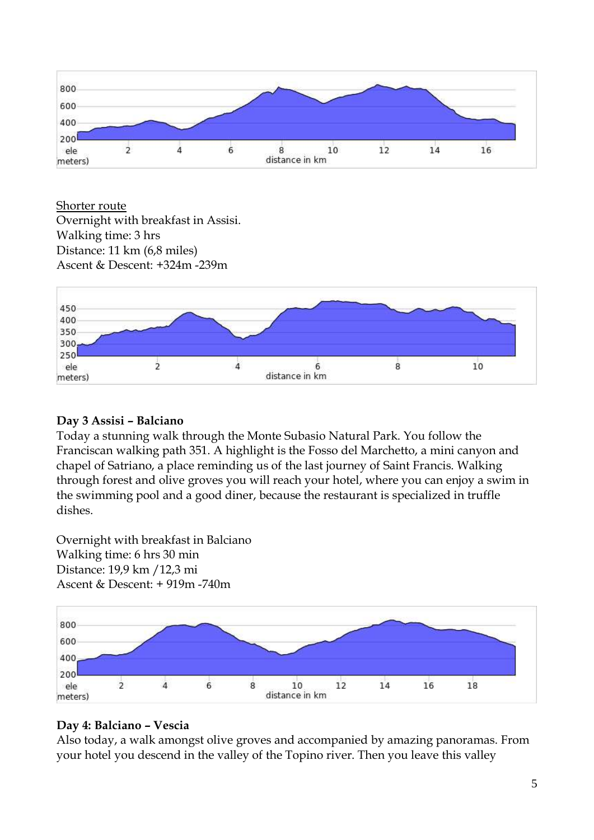

Shorter route

Overnight with breakfast in Assisi. Walking time: 3 hrs Distance: 11 km (6,8 miles) Ascent & Descent: +324m -239m



## **Day 3 Assisi – Balciano**

Today a stunning walk through the Monte Subasio Natural Park. You follow the Franciscan walking path 351. A highlight is the Fosso del Marchetto, a mini canyon and chapel of Satriano, a place reminding us of the last journey of Saint Francis. Walking through forest and olive groves you will reach your hotel, where you can enjoy a swim in the swimming pool and a good diner, because the restaurant is specialized in truffle dishes.

Overnight with breakfast in Balciano Walking time: 6 hrs 30 min Distance: 19,9 km /12,3 mi Ascent & Descent: + 919m -740m



# **Day 4: Balciano – Vescia**

Also today, a walk amongst olive groves and accompanied by amazing panoramas. From your hotel you descend in the valley of the Topino river. Then you leave this valley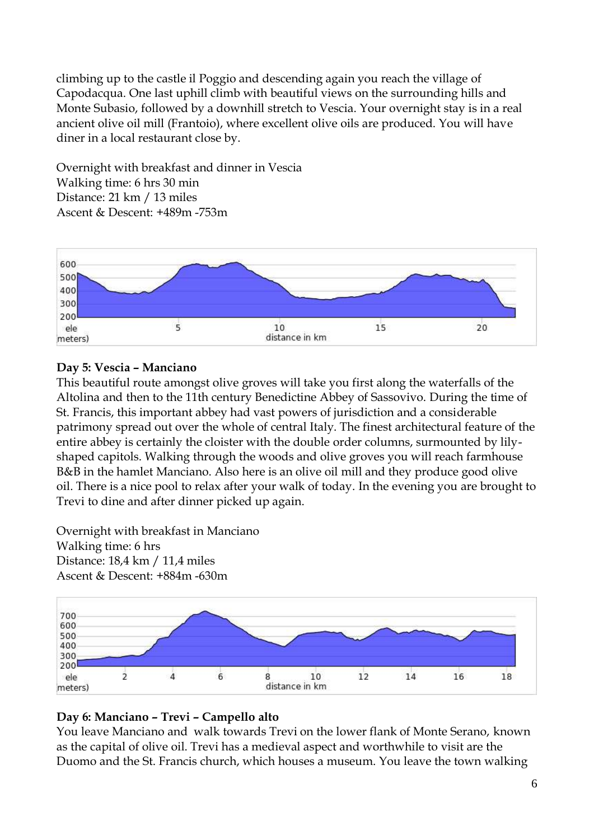climbing up to the castle il Poggio and descending again you reach the village of Capodacqua. One last uphill climb with beautiful views on the surrounding hills and Monte Subasio, followed by a downhill stretch to Vescia. Your overnight stay is in a real ancient olive oil mill (Frantoio), where excellent olive oils are produced. You will have diner in a local restaurant close by.

Overnight with breakfast and dinner in Vescia Walking time: 6 hrs 30 min Distance: 21 km / 13 miles Ascent & Descent: +489m -753m



## **Day 5: Vescia – Manciano**

This beautiful route amongst olive groves will take you first along the waterfalls of the Altolina and then to the 11th century Benedictine Abbey of Sassovivo. During the time of St. Francis, this important abbey had vast powers of jurisdiction and a considerable patrimony spread out over the whole of central Italy. The finest architectural feature of the entire abbey is certainly the cloister with the double order columns, surmounted by lilyshaped capitols. Walking through the woods and olive groves you will reach farmhouse B&B in the hamlet Manciano. Also here is an olive oil mill and they produce good olive oil. There is a nice pool to relax after your walk of today. In the evening you are brought to Trevi to dine and after dinner picked up again.

Overnight with breakfast in Manciano Walking time: 6 hrs Distance: 18,4 km / 11,4 miles Ascent & Descent: +884m -630m



## **Day 6: Manciano – Trevi – Campello alto**

You leave Manciano and walk towards Trevi on the lower flank of Monte Serano, known as the capital of olive oil. Trevi has a medieval aspect and worthwhile to visit are the Duomo and the St. Francis church, which houses a museum. You leave the town walking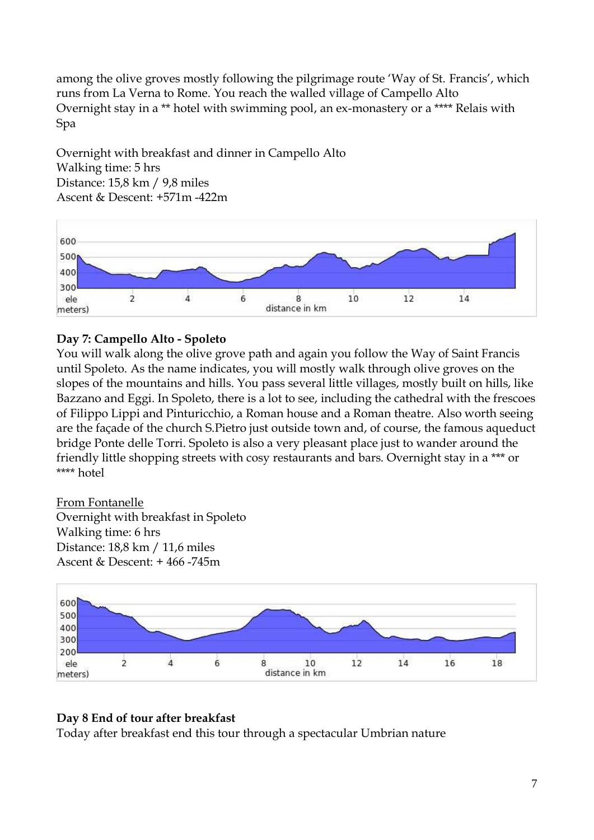among the olive groves mostly following the pilgrimage route 'Way of St. Francis', which runs from La Verna to Rome. You reach the walled village of Campello Alto Overnight stay in a \*\* hotel with swimming pool, an ex-monastery or a \*\*\*\* Relais with Spa

Overnight with breakfast and dinner in Campello Alto Walking time: 5 hrs Distance: 15,8 km / 9,8 miles Ascent & Descent: +571m -422m



## **Day 7: Campello Alto - Spoleto**

You will walk along the olive grove path and again you follow the Way of Saint Francis until Spoleto. As the name indicates, you will mostly walk through olive groves on the slopes of the mountains and hills. You pass several little villages, mostly built on hills, like Bazzano and Eggi. In Spoleto, there is a lot to see, including the cathedral with the frescoes of Filippo Lippi and Pinturicchio, a Roman house and a Roman theatre. Also worth seeing are the façade of the church S.Pietro just outside town and, of course, the famous aqueduct bridge Ponte delle Torri. Spoleto is also a very pleasant place just to wander around the friendly little shopping streets with cosy restaurants and bars. Overnight stay in a \*\*\* or \*\*\*\* hotel

From Fontanelle Overnight with breakfast in Spoleto Walking time: 6 hrs Distance: 18,8 km / 11,6 miles Ascent & Descent: + 466 -745m



### **Day 8 End of tour after breakfast**

Today after breakfast end this tour through a spectacular Umbrian nature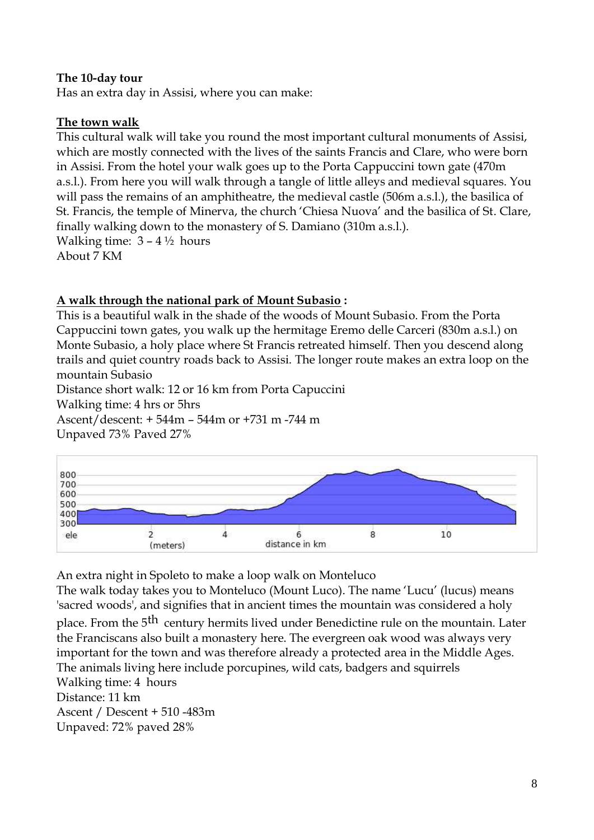#### **The 10-day tour**

Has an extra day in Assisi, where you can make:

#### **The town walk**

This cultural walk will take you round the most important cultural monuments of Assisi, which are mostly connected with the lives of the saints Francis and Clare, who were born in Assisi. From the hotel your walk goes up to the Porta Cappuccini town gate (470m a.s.l.). From here you will walk through a tangle of little alleys and medieval squares. You will pass the remains of an amphitheatre, the medieval castle (506m a.s.l.), the basilica of St. Francis, the temple of Minerva, the church 'Chiesa Nuova' and the basilica of St. Clare, finally walking down to the monastery of S. Damiano (310m a.s.l.). Walking time:  $3 - 4\frac{1}{2}$  hours About 7 KM

### **A walk through the national park of Mount Subasio :**

This is a beautiful walk in the shade of the woods of Mount Subasio. From the Porta Cappuccini town gates, you walk up the hermitage Eremo delle Carceri (830m a.s.l.) on Monte Subasio, a holy place where St Francis retreated himself. Then you descend along trails and quiet country roads back to Assisi. The longer route makes an extra loop on the mountain Subasio

Distance short walk: 12 or 16 km from Porta Capuccini

Walking time: 4 hrs or 5hrs

Ascent/descent: + 544m – 544m or +731 m -744 m Unpaved 73% Paved 27%



An extra night in Spoleto to make a loop walk on Monteluco

The walk today takes you to Monteluco (Mount Luco). The name 'Lucu' (lucus) means 'sacred woods', and signifies that in ancient times the mountain was considered a holy

place. From the 5<sup>th</sup> century hermits lived under Benedictine rule on the mountain. Later the Franciscans also built a monastery here. The evergreen oak wood was always very important for the town and was therefore already a protected area in the Middle Ages. The animals living here include porcupines, wild cats, badgers and squirrels Walking time: 4 hours

Distance: 11 km Ascent / Descent + 510 -483m Unpaved: 72% paved 28%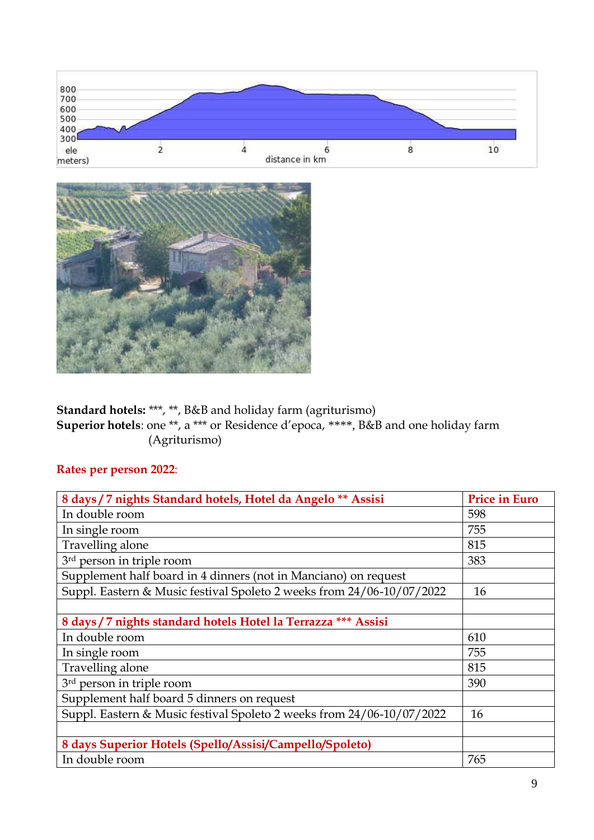



**Standard hotels:** \*\*\*, \*\*, B&B and holiday farm (agriturismo) **Superior hotels**: one \*\*, a \*\*\* or Residence d'epoca, \*\*\*\*, B&B and one holiday farm (Agriturismo)

## **Rates per person 2022**:

| 8 days / 7 nights Standard hotels, Hotel da Angelo ** Assisi          | <b>Price in Euro</b> |
|-----------------------------------------------------------------------|----------------------|
| In double room                                                        | 598                  |
| In single room                                                        | 755                  |
| Travelling alone                                                      | 815                  |
| 3 <sup>rd</sup> person in triple room                                 | 383                  |
| Supplement half board in 4 dinners (not in Manciano) on request       |                      |
| Suppl. Eastern & Music festival Spoleto 2 weeks from 24/06-10/07/2022 | 16                   |
|                                                                       |                      |
| 8 days / 7 nights standard hotels Hotel la Terrazza *** Assisi        |                      |
| In double room                                                        | 610                  |
| In single room                                                        | 755                  |
| Travelling alone                                                      | 815                  |
| 3rd person in triple room                                             | 390                  |
| Supplement half board 5 dinners on request                            |                      |
| Suppl. Eastern & Music festival Spoleto 2 weeks from 24/06-10/07/2022 | 16                   |
|                                                                       |                      |
| 8 days Superior Hotels (Spello/Assisi/Campello/Spoleto)               |                      |
| In double room                                                        | 765                  |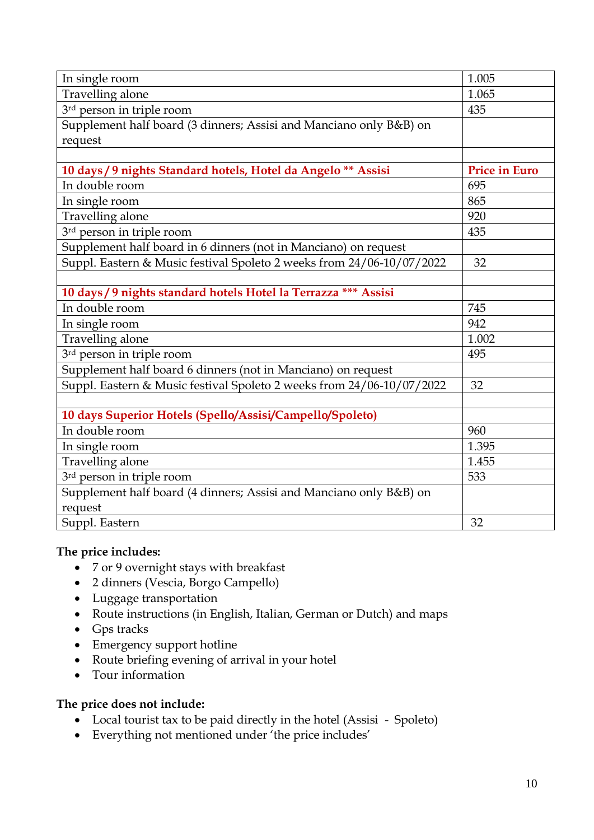| In single room                                                        | 1.005                |
|-----------------------------------------------------------------------|----------------------|
| Travelling alone                                                      | 1.065                |
| 3rd person in triple room                                             | 435                  |
| Supplement half board (3 dinners; Assisi and Manciano only B&B) on    |                      |
| request                                                               |                      |
|                                                                       |                      |
| 10 days / 9 nights Standard hotels, Hotel da Angelo ** Assisi         | <b>Price in Euro</b> |
| In double room                                                        | 695                  |
| In single room                                                        | 865                  |
| Travelling alone                                                      | 920                  |
| 3rd person in triple room                                             | 435                  |
| Supplement half board in 6 dinners (not in Manciano) on request       |                      |
| Suppl. Eastern & Music festival Spoleto 2 weeks from 24/06-10/07/2022 | 32                   |
|                                                                       |                      |
| 10 days / 9 nights standard hotels Hotel la Terrazza *** Assisi       |                      |
| In double room                                                        | 745                  |
| In single room                                                        | 942                  |
| Travelling alone                                                      | 1.002                |
| 3rd person in triple room                                             | 495                  |
| Supplement half board 6 dinners (not in Manciano) on request          |                      |
| Suppl. Eastern & Music festival Spoleto 2 weeks from 24/06-10/07/2022 | 32                   |
|                                                                       |                      |
| 10 days Superior Hotels (Spello/Assisi/Campello/Spoleto)              |                      |
| In double room                                                        | 960                  |
| In single room                                                        | 1.395                |
| Travelling alone                                                      | 1.455                |
| 3rd person in triple room                                             | 533                  |
| Supplement half board (4 dinners; Assisi and Manciano only B&B) on    |                      |
| request                                                               |                      |
| Suppl. Eastern                                                        | 32                   |

### **The price includes:**

- 7 or 9 overnight stays with breakfast
- 2 dinners (Vescia, Borgo Campello)
- Luggage transportation
- Route instructions (in English, Italian, German or Dutch) and maps
- Gps tracks
- Emergency support hotline
- Route briefing evening of arrival in your hotel
- Tour information

#### **The price does not include:**

- Local tourist tax to be paid directly in the hotel (Assisi Spoleto)
- Everything not mentioned under 'the price includes'